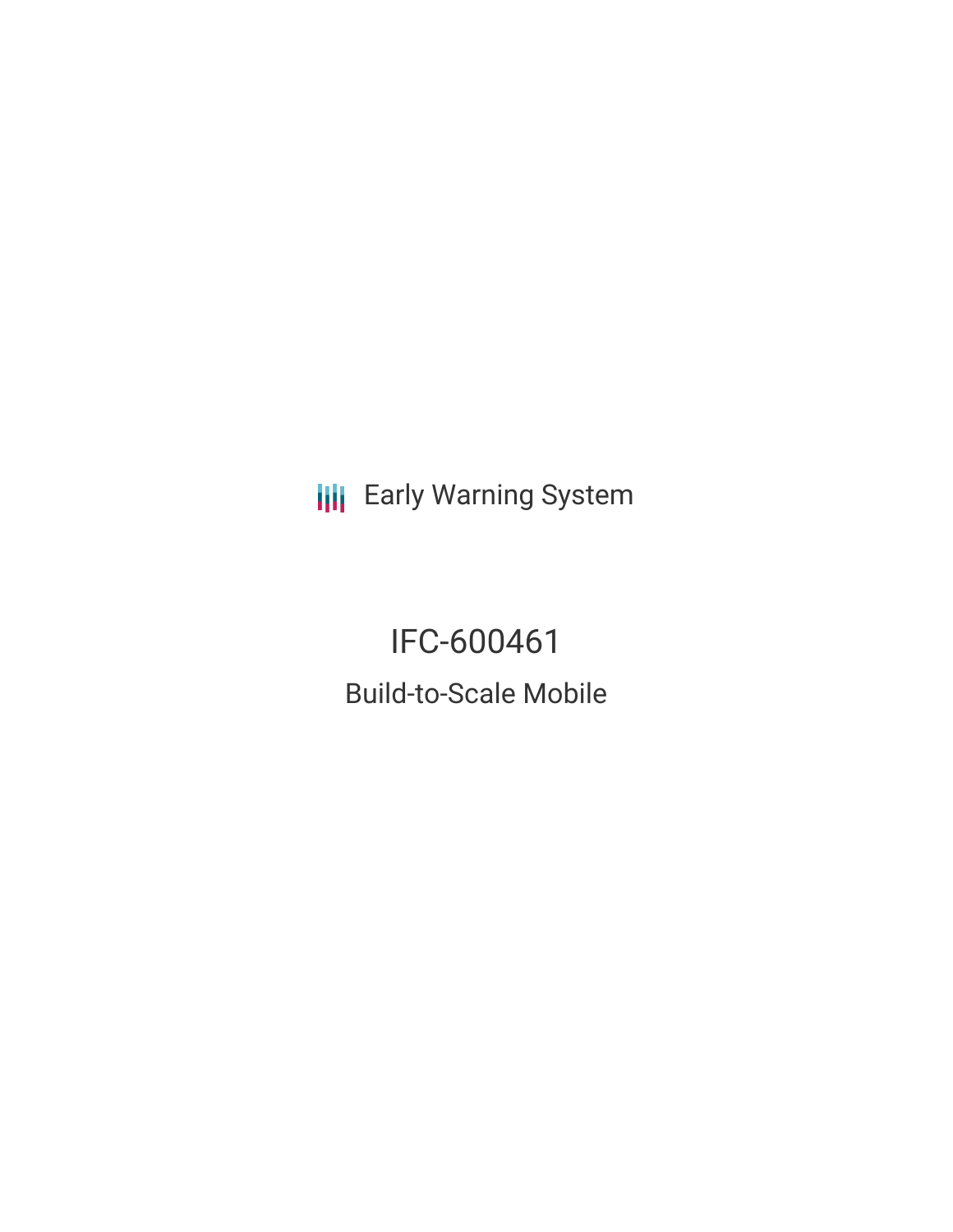**III** Early Warning System

IFC-600461 Build-to-Scale Mobile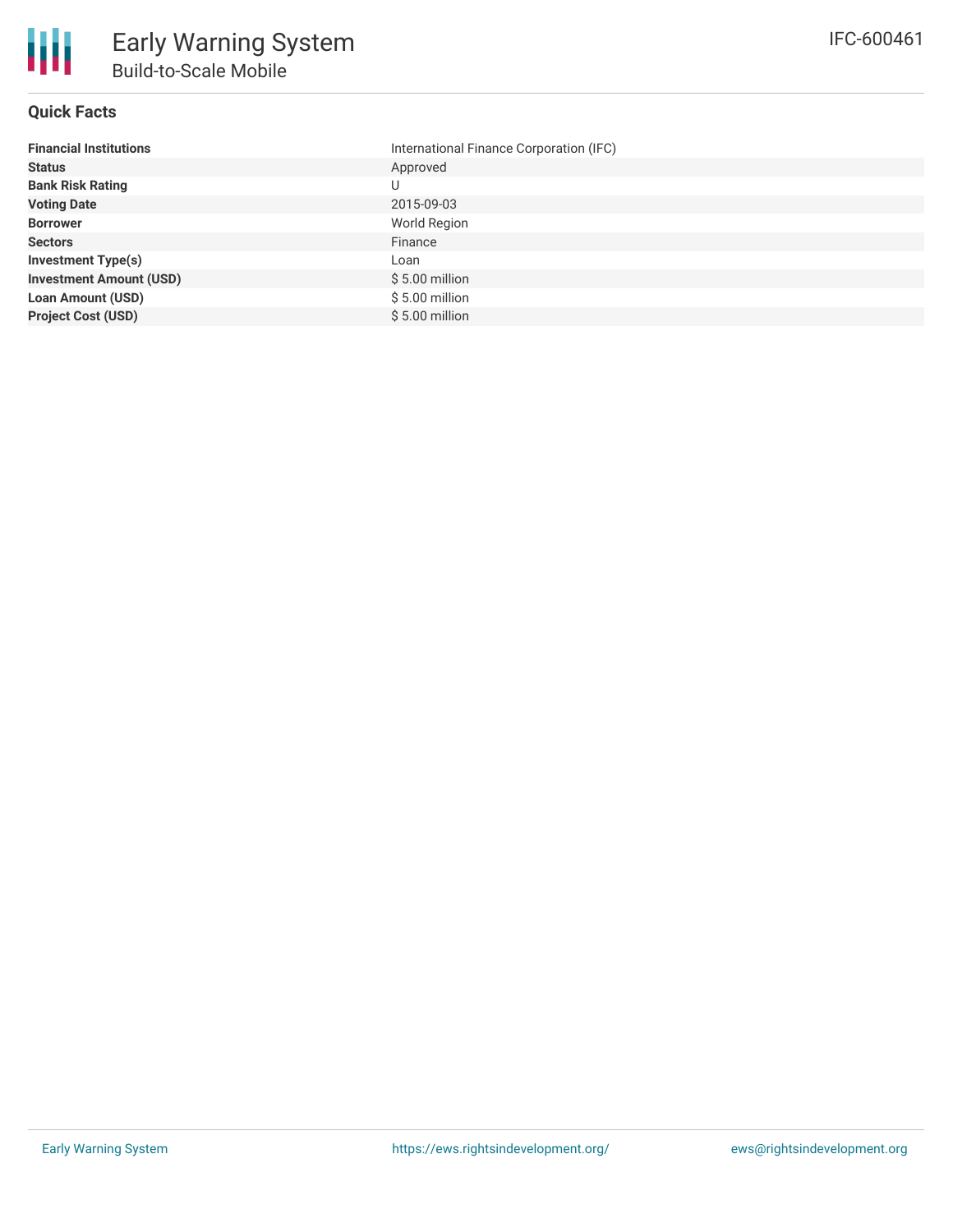#### **Quick Facts**

| <b>Financial Institutions</b>  | International Finance Corporation (IFC) |
|--------------------------------|-----------------------------------------|
| <b>Status</b>                  | Approved                                |
| <b>Bank Risk Rating</b>        | U                                       |
| <b>Voting Date</b>             | 2015-09-03                              |
| <b>Borrower</b>                | World Region                            |
| <b>Sectors</b>                 | Finance                                 |
| <b>Investment Type(s)</b>      | Loan                                    |
| <b>Investment Amount (USD)</b> | $$5.00$ million                         |
| <b>Loan Amount (USD)</b>       | $$5.00$ million                         |
| <b>Project Cost (USD)</b>      | $$5.00$ million                         |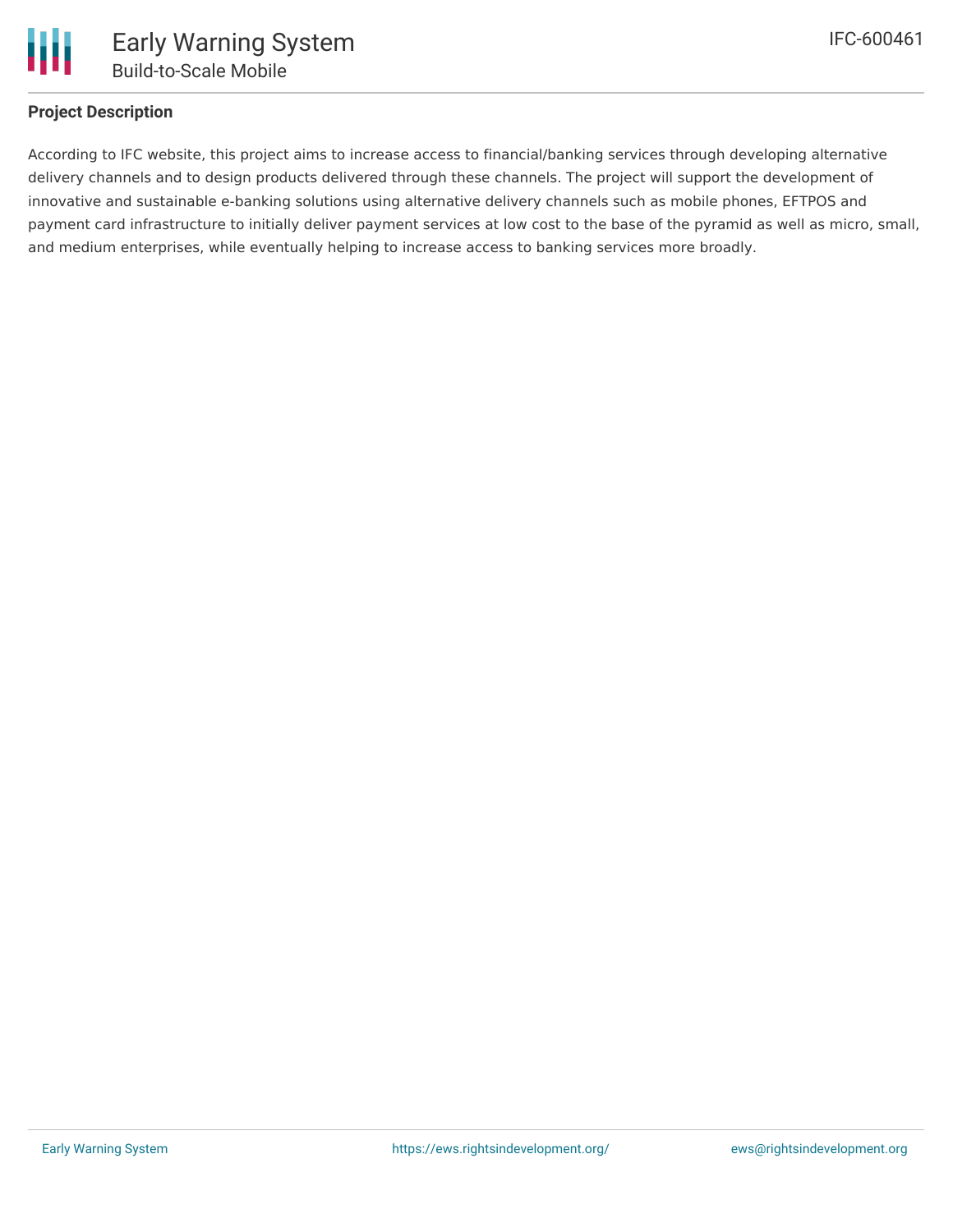

## **Project Description**

According to IFC website, this project aims to increase access to financial/banking services through developing alternative delivery channels and to design products delivered through these channels. The project will support the development of innovative and sustainable e-banking solutions using alternative delivery channels such as mobile phones, EFTPOS and payment card infrastructure to initially deliver payment services at low cost to the base of the pyramid as well as micro, small, and medium enterprises, while eventually helping to increase access to banking services more broadly.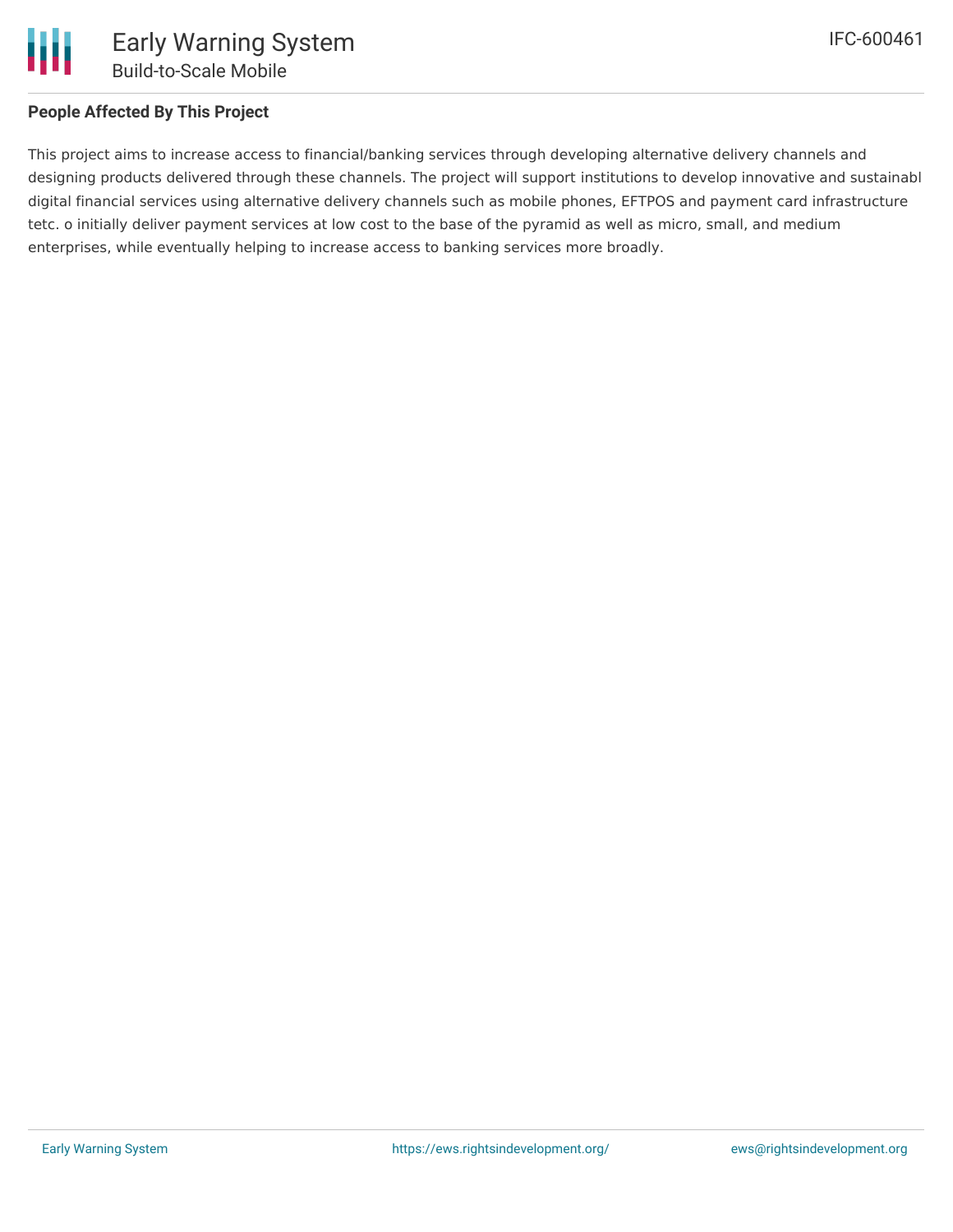

## **People Affected By This Project**

This project aims to increase access to financial/banking services through developing alternative delivery channels and designing products delivered through these channels. The project will support institutions to develop innovative and sustainabl digital financial services using alternative delivery channels such as mobile phones, EFTPOS and payment card infrastructure tetc. o initially deliver payment services at low cost to the base of the pyramid as well as micro, small, and medium enterprises, while eventually helping to increase access to banking services more broadly.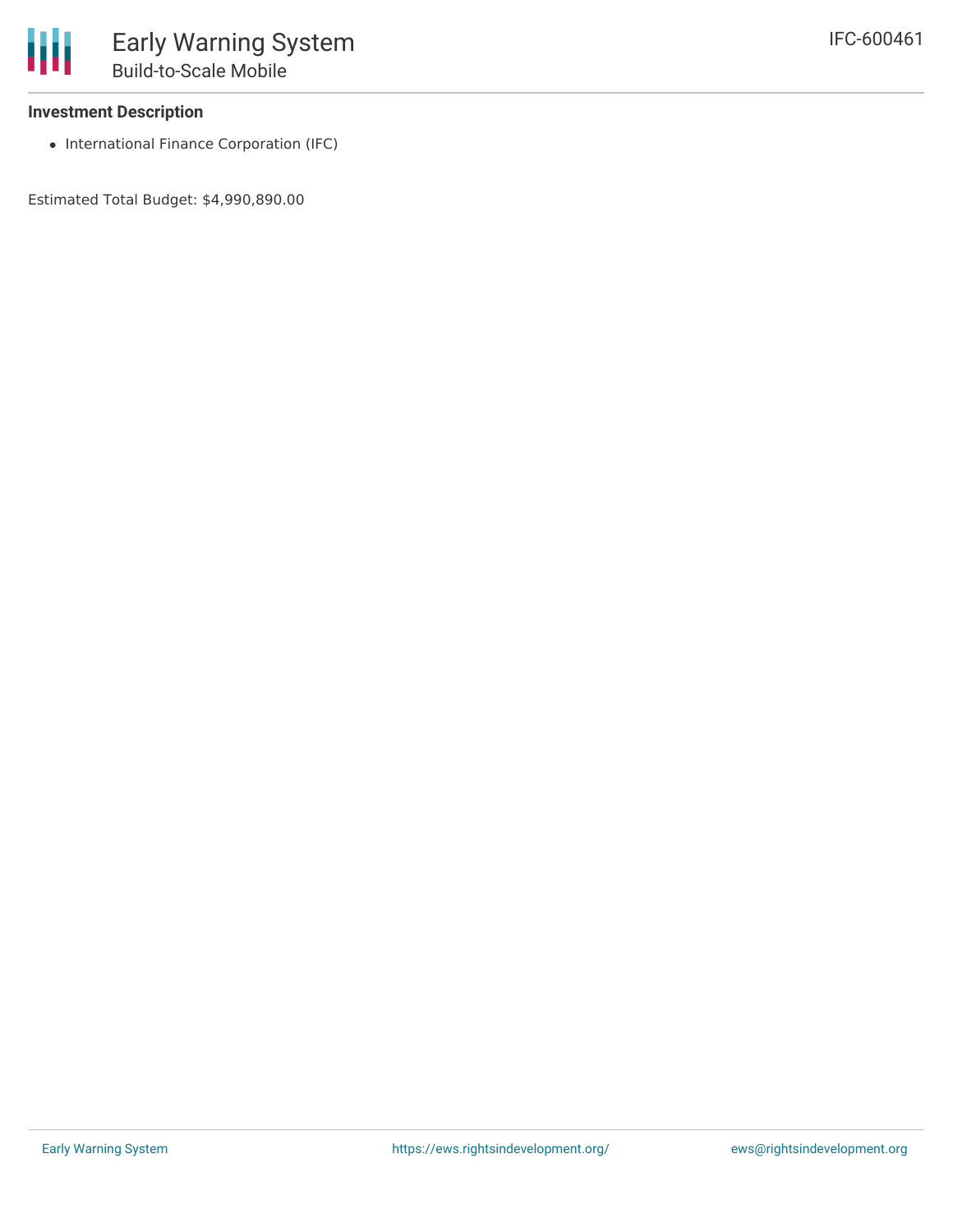• International Finance Corporation (IFC)

Estimated Total Budget: \$4,990,890.00